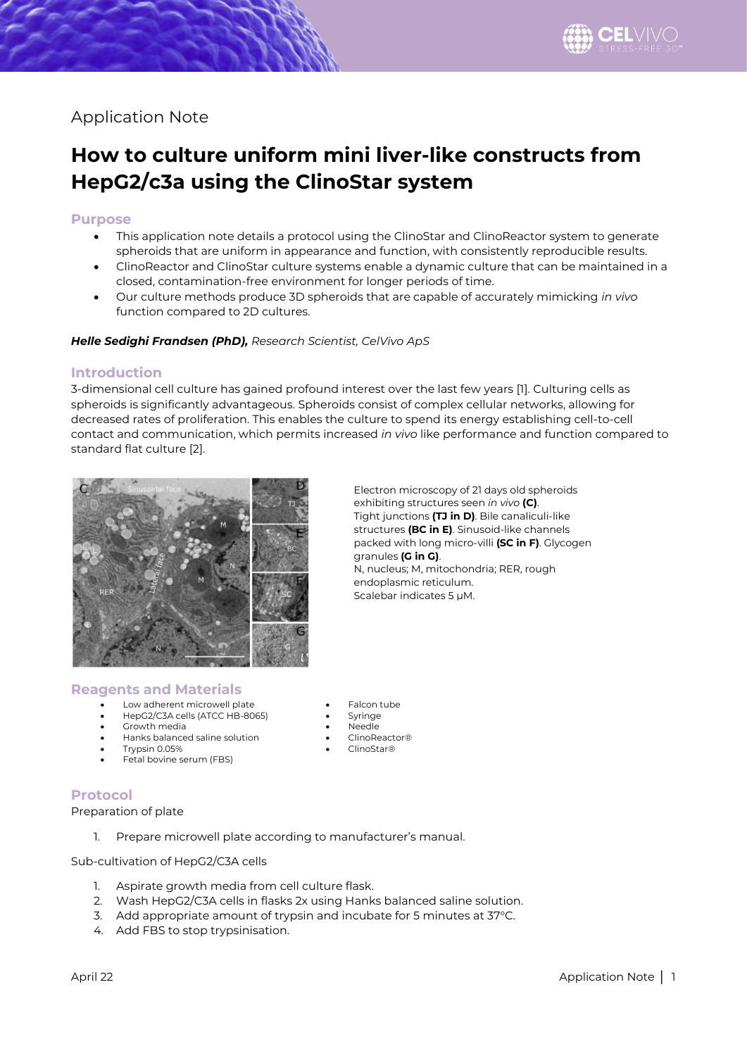## Application Note

# **How to culture uniform mini liver-like constructs from HepG2/c3a using the ClinoStar system**

#### **Purpose**

- This application note details a protocol using the ClinoStar and ClinoReactor system to generate spheroids that are uniform in appearance and function, with consistently reproducible results.
- ClinoReactor and ClinoStar culture systems enable a dynamic culture that can be maintained in a closed, contamination-free environment for longer periods of time.
- Our culture methods produce 3D spheroids that are capable of accurately mimicking *in vivo* function compared to 2D cultures.

#### *Helle Sedighi Frandsen (PhD), Research Scientist, CelVivo ApS*

#### **Introduction**

3-dimensional cell culture has gained profound interest over the last few years [1]. Culturing cells as spheroids is significantly advantageous. Spheroids consist of complex cellular networks, allowing for decreased rates of proliferation. This enables the culture to spend its energy establishing cell-to-cell contact and communication, which permits increased *in vivo* like performance and function compared to standard flat culture [2].



Electron microscopy of 21 days old spheroids exhibiting structures seen *in vivo* **(C)**. Tight junctions **(TJ in D)**. Bile canaliculi-like structures **(BC in E)**. Sinusoid-like channels packed with long micro-villi **(SC in F)**. Glycogen granules **(G in G)**. N, nucleus; M, mitochondria; RER, rough endoplasmic reticulum. Scalebar indicates 5 µM.

#### **Reagents and Materials**

- Low adherent microwell plate **•** Falcon tube
- HepG2/C3A cells (ATCC HB-8065) Syringe
- Growth media Needle
- Hanks balanced saline solution ClinoReactor®
- Trypsin 0.05%
- Fetal bovine serum (FBS)

### **Protocol**

Preparation of plate

1. Prepare microwell plate according to manufacturer's manual.

Sub-cultivation of HepG2/C3A cells

- 1. Aspirate growth media from cell culture flask.
- 2. Wash HepG2/C3A cells in flasks 2x using Hanks balanced saline solution.
- 3. Add appropriate amount of trypsin and incubate for 5 minutes at 37°C.
- 4. Add FBS to stop trypsinisation.